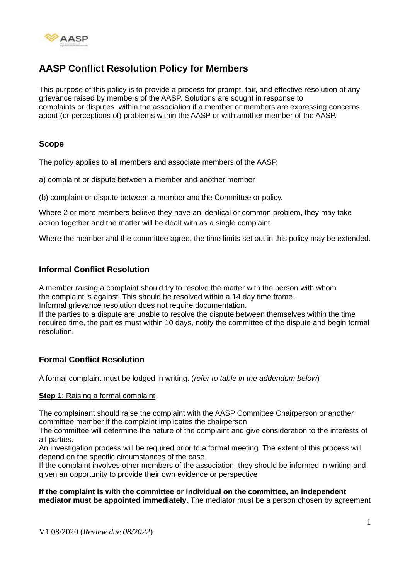

# **AASP Conflict Resolution Policy for Members**

This purpose of this policy is to provide a process for prompt, fair, and effective resolution of any grievance raised by members of the AASP. Solutions are sought in response to complaints or disputes within the association if a member or members are expressing concerns about (or perceptions of) problems within the AASP or with another member of the AASP.

## **Scope**

The policy applies to all members and associate members of the AASP.

a) complaint or dispute between a member and another member

(b) complaint or dispute between a member and the Committee or policy.

Where 2 or more members believe they have an identical or common problem, they may take action together and the matter will be dealt with as a single complaint.

Where the member and the committee agree, the time limits set out in this policy may be extended.

## **Informal Conflict Resolution**

A member raising a complaint should try to resolve the matter with the person with whom the complaint is against. This should be resolved within a 14 day time frame.

Informal grievance resolution does not require documentation.

If the parties to a dispute are unable to resolve the dispute between themselves within the time required time, the parties must within 10 days, notify the committee of the dispute and begin formal resolution.

# **Formal Conflict Resolution**

A formal complaint must be lodged in writing. (*refer to table in the addendum below*)

#### **Step 1: Raising a formal complaint**

The complainant should raise the complaint with the AASP Committee Chairperson or another committee member if the complaint implicates the chairperson

The committee will determine the nature of the complaint and give consideration to the interests of all parties.

An investigation process will be required prior to a formal meeting. The extent of this process will depend on the specific circumstances of the case.

If the complaint involves other members of the association, they should be informed in writing and given an opportunity to provide their own evidence or perspective

**If the complaint is with the committee or individual on the committee, an independent mediator must be appointed immediately**. The mediator must be a person chosen by agreement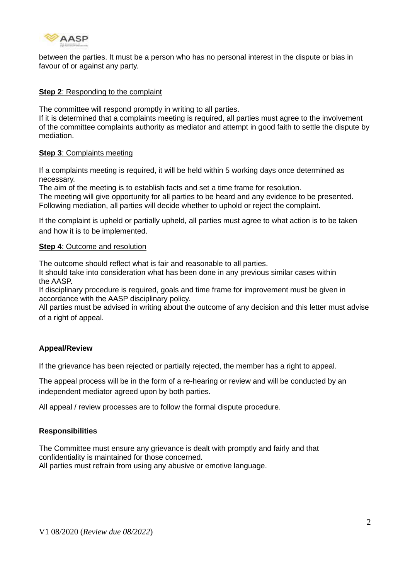

between the parties. It must be a person who has no personal interest in the dispute or bias in favour of or against any party.

#### **Step 2**: Responding to the complaint

The committee will respond promptly in writing to all parties.

If it is determined that a complaints meeting is required, all parties must agree to the involvement of the committee complaints authority as mediator and attempt in good faith to settle the dispute by mediation.

#### **Step 3**: Complaints meeting

If a complaints meeting is required, it will be held within 5 working days once determined as necessary.

The aim of the meeting is to establish facts and set a time frame for resolution.

The meeting will give opportunity for all parties to be heard and any evidence to be presented. Following mediation, all parties will decide whether to uphold or reject the complaint.

If the complaint is upheld or partially upheld, all parties must agree to what action is to be taken and how it is to be implemented.

#### **Step 4: Outcome and resolution**

The outcome should reflect what is fair and reasonable to all parties.

It should take into consideration what has been done in any previous similar cases within the AASP.

If disciplinary procedure is required, goals and time frame for improvement must be given in accordance with the AASP disciplinary policy.

All parties must be advised in writing about the outcome of any decision and this letter must advise of a right of appeal.

#### **Appeal/Review**

If the grievance has been rejected or partially rejected, the member has a right to appeal.

The appeal process will be in the form of a re-hearing or review and will be conducted by an independent mediator agreed upon by both parties.

All appeal / review processes are to follow the formal dispute procedure.

#### **Responsibilities**

The Committee must ensure any grievance is dealt with promptly and fairly and that confidentiality is maintained for those concerned. All parties must refrain from using any abusive or emotive language.